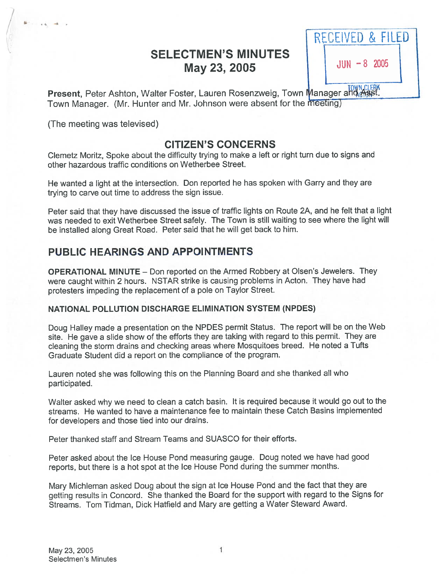# SELECTMEN'S MINUTES May 23, 2005



Present, Peter Ashton, Walter Foster, Lauren Rosenzweig, Town Manager and mast Town Manager. (Mr. Hunter and Mr. Johnson were absent for the meeting)

(The meeting was televised)

 $\overline{1}$ 

# CITIZEN'S CONCERNS

Clemetz Moritz, Spoke about the difficulty trying to make <sup>a</sup> left or right turn due to signs and other hazardous traffic conditions on Wetherbee Street.

He wanted <sup>a</sup> light at the intersection. Don reported he has spoken with Garry and they are trying to carve out time to address the sign issue.

Peter said that they have discussed the issue of traffic lights on Route 2A, and he felt that <sup>a</sup> light was needed to exit Wetherbee Street safely. The Town is still waiting to see where the light will be installed along Great Road. Peter said that he will ge<sup>t</sup> back to him.

# PUBLIC HEARINGS AND APPOINTMENTS

OPERATIONAL MINUTE — Don reported on the Armed Robbery at Olsen's Jewelers. They were caught within <sup>2</sup> hours. NSTAR strike is causing problems in Acton. They have had protesters impeding the replacement of <sup>a</sup> pole on Taylor Street.

### NATIONAL POLLUTION DISCHARGE ELIMINATION SYSTEM (NPDES)

Doug Halley made <sup>a</sup> presentation on the NPDES permit Status. The repor<sup>t</sup> will be on the Web site. He gave <sup>a</sup> slide show of the efforts they are taking with regar<sup>d</sup> to this permit. They are cleaning the storm drains and checking areas where Mosquitoes breed. He noted <sup>a</sup> Tufts Graduate Student did <sup>a</sup> repor<sup>t</sup> on the compliance of the program.

Lauren noted she was following this on the Planning Board and she thanked all who participated.

Walter asked why we need to clean <sup>a</sup> catch basin. It is required because it would go out to the streams. He wanted to have <sup>a</sup> maintenance fee to maintain these Catch Basins implemented for developers and those tied into our drains.

Peter thanked staff and Stream Teams and SUASCO for their efforts.

Peter asked about the Ice House Pond measuring gauge. Doug noted we have had good reports, but there is <sup>a</sup> hot spo<sup>t</sup> at the Ice House Pond during the summer months.

Mary Michleman asked Doug about the sign at Ice House Pond and the fact that they are getting results in Concord. She thanked the Board for the suppor<sup>t</sup> with regar<sup>d</sup> to the Signs for Streams. Tom Tidman, Dick Hatfield and Mary are getting <sup>a</sup> Water Steward Award.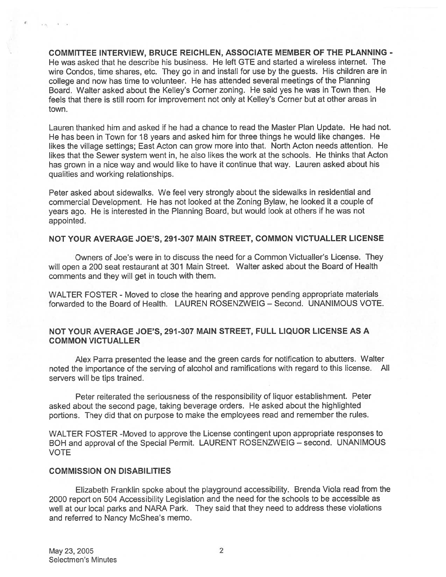COMMITTEE INTERVIEW, BRUCE REICHLEN, ASSOCIATE MEMBER OF THE PLANNING - He was asked that he describe his business. He left GTE and started <sup>a</sup> wireless internet. The wire Condos, time shares, etc. They go in and install for use by the guests. His children are in college and now has time to volunteer. He has attended several meetings of the Planning Board. Walter asked about the Kelley's Corner zoning. He said yes he was in Town then. He feels that there is still room for improvement not only at Kelley's Corner but at other areas in town.

Lauren thanked him and asked if he had <sup>a</sup> chance to read the Master Plan Update. He had not. He has been in Town for 18 years and asked him for three things he would like changes. He likes the village settings; East Acton can grow more into that. North Acton needs attention. He likes that the Sewer system went in, he also likes the work at the schools. He thinks that Acton has grown in <sup>a</sup> nice way and would like to have it continue that way. Lauren asked about his qualities and working relationships.

Peter asked about sidewalks. We feel very strongly about the sidewalks in residential and commercial Development. He has not looked at the Zoning Bylaw, he looked it <sup>a</sup> couple of years ago. He is interested in the Planning Board, but would look at others if he was not appointed.

#### NOT YOUR AVERAGE JOE'S, 291 -307 MAIN STREET, COMMON VICTUALLER LICENSE

Owners of Joe's were in to discuss the need for <sup>a</sup> Common Victualler's License. They will open <sup>a</sup> <sup>200</sup> seat restaurant at <sup>301</sup> Main Street. Walter asked about the Board of Health comments and they will ge<sup>t</sup> in touch with them.

WALTER FOSTER - Moved to close the hearing and approve pending appropriate materials forwarded to the Board of Health. LAUREN ROSENZWEIG — Second. UNANIMOUS VOTE.

#### NOT YOUR AVERAGE JOE'S, 291 -307 MAIN STREET, FULL LIQUOR LICENSE AS A COMMON VICTUALLER

Alex Parra presented the lease and the green cards for notification to abutters. Walter noted the importance of the serving of alcohol and ramifications with regar<sup>d</sup> to this license. All servers will be tips trained.

Peter reiterated the seriousness of the responsibility of liquor establishment. Peter asked about the second page, taking beverage orders. He asked about the highlighted portions. They did that on purpose to make the employees read and remember the rules.

WALTER FOSTER -Moved to approve the License contingent upon appropriate responses to BOH and approva<sup>l</sup> of the Special Permit. LAURENT ROSENZWEIG — second. UNANIMOUS VOTE

#### COMMISSION ON DISABILITIES

Elizabeth Franklin spoke about the <sup>p</sup>layground accessibility. Brenda Viola read from the 2000 repor<sup>t</sup> on 504 Accessibility Legislation and the need for the schools to be accessible as well at our local parks and NARA Park. They said that they need to address these violations and referred to Nancy McShea's memo.

N.W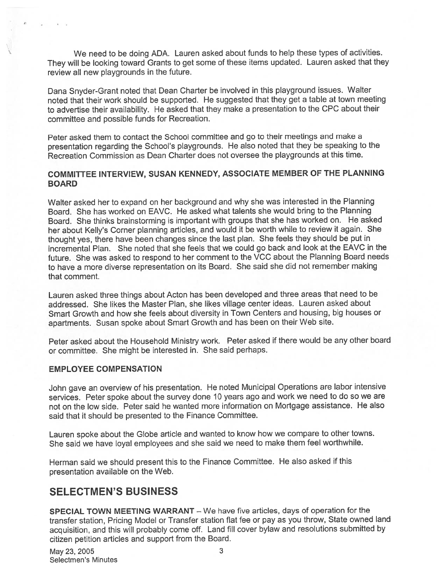We need to be doing ADA. Lauren asked about funds to help these types of activities. They will be looking toward Grants to ge<sup>t</sup> some of these items updated. Lauren asked that they review all new playgrounds in the future.

Dana Snyder-Grant noted that Dean Charter be involved in this <sup>p</sup>layground issues. Walter noted that their work should be supported. He suggested that they ge<sup>t</sup> <sup>a</sup> table at town meeting to advertise their availability. He asked that they make <sup>a</sup> presentation to the CPC about their committee and possible funds for Recreation.

Peter asked them to contact the School committee and go to their meetings and make <sup>a</sup> presentation regarding the School's <sup>p</sup>laygrounds. He also noted that they be speaking to the Recreation Commission as Dean Charter does not oversee the playgrounds at this time.

### COMMITTEE INTERVIEW, SUSAN KENNEDY, ASSOCIATE MEMBER OF THE PLANNING BOARD

Walter asked her to expan<sup>d</sup> on her background and why she was interested in the Planning Board. She has worked on EAVC. He asked what talents she would bring to the Planning Board. She thinks brainstorming is important with groups that she has worked on. He asked her about Kelly's Cornet <sup>p</sup>lanning articles, and would it be worth while to review it again. She thought yes, there have been changes since the last <sup>p</sup>lan. She feels they should be pu<sup>t</sup> in incremental Plan. She noted that she feels that we could go back and look at the EAVC in the future. She was asked to respon<sup>d</sup> to her comment to the VCC about the Planning Board needs to have <sup>a</sup> more diverse representation on its Board. She said she did not remember making that comment.

Lauren asked three things about Acton has been developed and three areas that need to be addressed. She likes the Master Plan, she likes village center ideas. Lauren asked about Smart Growth and how she feels about diversity in Town Centers and housing, big houses or apartments. Susan spoke about Smart Growth and has been on their Web site.

Peter asked about the Household Ministry work. Peter asked if there would be any other board or committee. She might be interested in. She said perhaps.

### EMPLOYEE COMPENSATION

John gave an overview of his presentation. He noted Municipal Operations are labor intensive services. Peter spoke about the survey done <sup>10</sup> years ago and work we need to do so we are not on the low side. Peter said he wanted more information on Mortgage assistance. He also said that it should be presented to the Finance Committee.

Lauren spoke about the Globe article and wanted to know how we compare to other towns. She said we have loyal employees and she said we need to make them feel worthwhile.

Herman said we should presen<sup>t</sup> this to the Finance Committee. He also asked if this presentation available on the Web.

## SELECTMEN'S BUSINESS

SPECIAL TOWN MEETING WARRANT — We have five articles, days of operation for the transfer station, Pricing Model or Transfer station flat fee or pay as you throw, State owned land acquisition, and this will probably come off. Land fill cover bylaw and resolutions submitted by citizen petition articles and suppor<sup>t</sup> from the Board.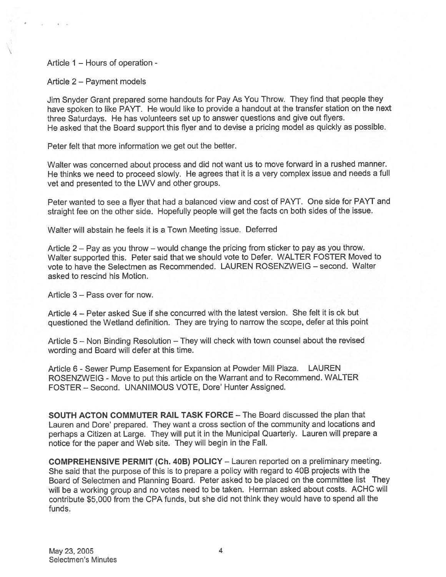Article 1 — Hours of operation -

### Article 2 — Payment models

Jim Snyder Grant prepare<sup>d</sup> some handouts for Pay As You Throw. They find that people they have spoken to like PAYT. He would like to provide a handout at the transfer station on the next three Saturdays. He has volunteers set up to answer questions and <sup>g</sup>ive out flyers. He asked that the Board suppor<sup>t</sup> this flyer and to devise <sup>a</sup> pricing model as quickly as possible.

Peter felt that more information we ge<sup>t</sup> out the better.

Walter was concerned about process and did not want us to move forward in <sup>a</sup> rushed manner. He thinks we need to procee<sup>d</sup> slowly. He agrees that it is <sup>a</sup> very complex issue and needs <sup>a</sup> full vet and presented to the LWV and other groups.

Peter wanted to see <sup>a</sup> flyer that had <sup>a</sup> balanced view and cost of PAYT. One side for PAYT and straight fee on the other side. Hopefully people will ge<sup>t</sup> the facts on both sides of the issue.

Walter will abstain he feels it is <sup>a</sup> Town Meeting issue. Deferred

Article <sup>2</sup> — Pay as you throw — would change the pricing from sticker to pay as you throw. Walter supported this. Peter said that we should vote to Defer. WALTER FOSTER Moved to vote to have the Selectmen as Recommended. LAUREN ROSENZWEIG — second. Walter asked to rescind his Motion.

Article 3 — Pass over for now.

Article 4 — Peter asked Sue if she concurred with the latest version. She felt it is ok but questioned the Wetland definition. They are trying to narrow the scope, defer at this point

Article <sup>5</sup> — Non Binding Resolution — They will check with town counsel about the revised wording and Board will defer at this time.

Article <sup>6</sup> - Sewer Pump Easement for Expansion at Powder Mill Plaza. LAUREN ROSENZWEIG - Move to pu<sup>t</sup> this article on the Warrant and to Recommend. WALTER FOSTER — Second. UNANIMOUS VOTE, Dore' Hunter Assigned.

SOUTH ACTON COMMUTER RAIL TASK FORCE — The Board discussed the plan that Lauren and Dore' prepared. They want <sup>a</sup> cross section of the community and locations and perhaps <sup>a</sup> Citizen at Large. They will pu<sup>t</sup> it in the Municipal Quarterly. Lauren will prepare <sup>a</sup> notice for the paper and Web site. They will begin in the Fall.

COMPREHENSIVE PERMIT (Ch. 40B) POLICY — Lauren reported on <sup>a</sup> preliminary meeting. She said that the purpose of this is to prepare <sup>a</sup> policy with regar<sup>d</sup> to 40B projects with the Board of Selectmen and Planning Board. Peter asked to be <sup>p</sup>laced on the committee list They will be <sup>a</sup> working group and no votes need to be taken. Herman asked about costs. ACHC will contribute \$5,000 from the CPA funds, but she did not think they would have to spen<sup>d</sup> all the funds.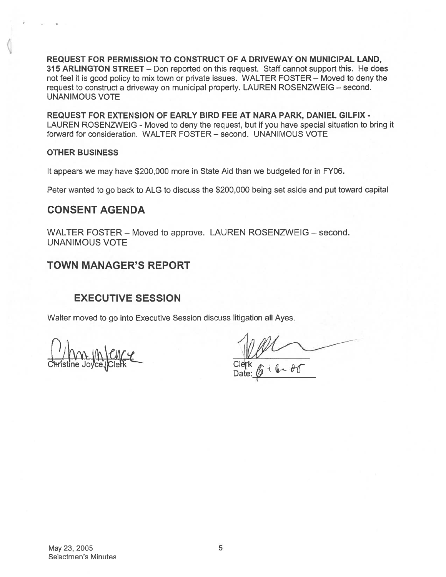REQUEST FOR PERMISSION TO CONSTRUCT OF A DRIVEWAY ON MUNICIPAL LAND, 315 ARLINGTON STREET — Don reported on this request. Staff cannot suppor<sup>t</sup> this. He does not feel it is good policy to mix town or private issues. WALTER FOSTER — Moved to deny the reques<sup>t</sup> to construct <sup>a</sup> driveway on municipal property. LAUREN ROSENZWEIG — second. UNANIMOUS VOTE

REQUEST FOR EXTENSION OF EARLY BIRD FEE AT NARA PARK, DANIEL GILFIX - LAUREN ROSENZWEIG - Moved to deny the request, but if you have special situation to bring it forward for consideration. WALTER FOSTER — second. UNANIMOUS VOTE

### OTHER BUSINESS

It appears we may have \$200,000 more in State Aid than we budgeted for in FY06.

Peter wanted to go back to ALG to discuss the \$200,000 being set aside and pu<sup>t</sup> toward capital

## CONSENT AGENDA

WALTER FOSTER — Moved to approve. LAUREN ROSENZWEIG — second. UNANIMOUS VOTE

# TOWN MANAGER'S REPORT

# EXECUTIVE SESSION

Walter moved to go into Executive Session discuss litigation all Ayes.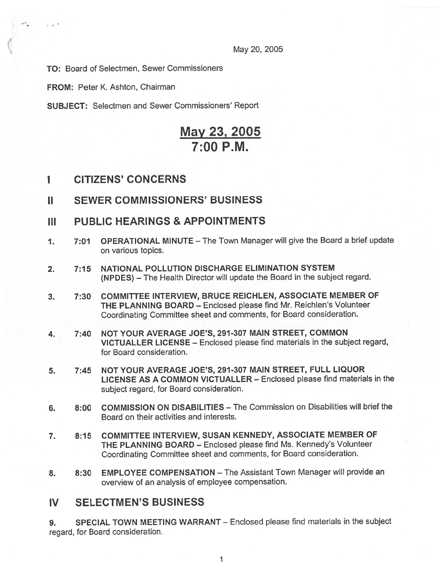May 20, 2005

TO: Board of Selectmen, Sewer Commissioners

FROM: Peter K. Ashton, Chairman

÷.

 $\sim$   $\sim$   $\sim$   $\sim$ 

SUBJECT: Selectmen and Sewer Commissioners' Report

# May 23, 2005 7:00 P.M.

- I CITIZENS' CONCERNS
- II SEWER COMMISSIONERS' BUSINESS
- III PUBLIC HEARINGS & APPOINTMENTS
- 1. 7:01 OPERATIONAL MINUTE The Town Manager will give the Board <sup>a</sup> brief update on various topics.
- 2. 7:15 NATIONAL POLLUTION DISCHARGE ELIMINATION SYSTEM (NPDES) — The Health Director will update the Board in the subject regard.
- 3. 7:30 COMMITTEE INTERVIEW, BRUCE REICHLEN, ASSOCIATE MEMBER OF THE PLANNING BOARD — Enclosed please find Mr. Reichlen's Volunteer Coordinating Committee sheet and comments, for Board consideration.
- 4. 7:40 NOT YOUR AVERAGE JOE'S, 291-307 MAIN STREET, COMMON VICTUALLER LICENSE — Enclosed please find materials in the subject regard, for Board consideration.
- 5. 7:45 NOT YOUR AVERAGE JOE'S, 291-307 MAIN STREET, FULL LIQUOR LICENSE AS A COMMON VICTUALLER — Enclosed please find materials in the subject regard, for Board consideration.
- 6. 8:00 COMMISSION ON DISABILITIES The Commission on Disabilities will brief the Board on their activities and interests.
- 7. 8:15 COMMITTEE INTERVIEW, SUSAN KENNEDY, ASSOCIATE MEMBER OF THE PLANNING BOARD — Enclosed <sup>p</sup>lease find Ms. Kennedy's Volunteer Coordinating Committee sheet and comments, for Board consideration.
- 8. 8:30 EMPLOYEE COMPENSATION The Assistant Town Manager will provide an overview of an analysis of employee compensation.

### IV SELECTMEN'S BUSINESS

9. SPECIAL TOWN MEETING WARRANT — Enclosed please find materials in the subject regard, for Board consideration.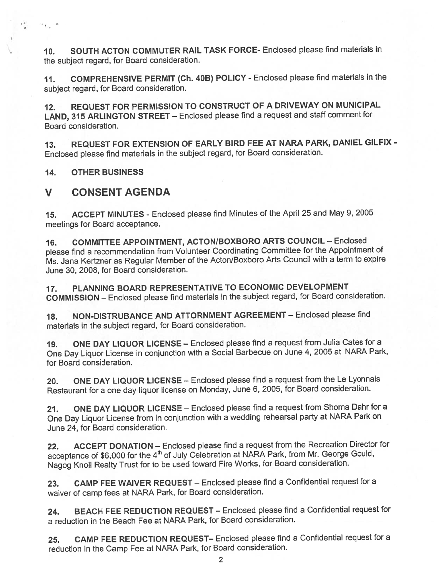10. SOUTH ACTON COMMUTER RAIL TASK FORCE- Enclosed <sup>p</sup>lease find materials in the subject regard, for Board consideration.

If. COMPREHENSIVE PERMIT (Ch. 40B) POLICY - Enclosed <sup>p</sup>lease find materials in the subject regard, for Board consideration.

12. REQUEST FOR PERMISSION TO CONSTRUCT OF <sup>A</sup> DRIVEWAY ON MUNICIPAL LAND, <sup>315</sup> ARLINGTON STREET — Enclosed <sup>p</sup>lease find <sup>a</sup> reques<sup>t</sup> and staff comment for Board consideration.

13. REQUEST FOR EXTENSION OF EARLY BIRD FEE AT NARA PARK, DANIEL GILFIX - Enclosed <sup>p</sup>lease find materials in the subject regard, for Board consideration.

14. OTHER BUSINESS

r a

 $\sim$  4  $^{-1}$  .

### V CONSENT AGENDA

15. ACCEPT MINUTES - Enclosed <sup>p</sup>lease find Minutes of the April <sup>25</sup> and May 9, <sup>2005</sup> meetings for Board acceptance.

16. COMMITTEE APPOINTMENT, ACTON/BOXBORO ARTS COUNCIL - Enclosed <sup>p</sup>lease find <sup>a</sup> recommendation from Volunteer Coordinating Committee for the Appointment of Ms. Jana Kertzner as Regular Member of the Acton/Boxboro Arts Council with <sup>a</sup> term to expire June 30, 2008, for Board consideration.

17. PLANNING BOARD REPRESENTATIVE TO ECONOMIC DEVELOPMENT COMMISSION — Enclosed <sup>p</sup>lease find materials in the subject regard, for Board consideration.

18. NON-DISTRUBANCE AND ATTORNMENT AGREEMENT - Enclosed please find materials in the subject regard, for Board consideration.

19. ONE DAY LIQUOR LICENSE — Enclosed <sup>p</sup>lease find <sup>a</sup> reques<sup>t</sup> from Julia Cates for <sup>a</sup> One Day Liquor License in conjunction with <sup>a</sup> Social Barbecue on June 4, <sup>2005</sup> at NARA Park, for Board consideration.

20. ONE DAY LIQUOR LICENSE – Enclosed please find a request from the Le Lyonnais Restaurant for <sup>a</sup> one day liquor license on Monday, June 6, 2005, for Board consideration.

21. ONE DAY LIQUOR LICENSE - Enclosed please find a request from Shoma Dahr for a One Day Liquor License from in conjunction with <sup>a</sup> wedding rehearsal party at NARA Park on June 24, for Board consideration.

22. ACCEPT DONATION — Enclosed <sup>p</sup>lease find <sup>a</sup> reques<sup>t</sup> from the Recreation Director for acceptance of \$6,000 for the 4<sup>th</sup> of July Celebration at NARA Park, from Mr. George Gould, Nagog Knoll Realty Trust for to be used toward Fire Works, for Board consideration.

23. CAMP FEE WAIVER REQUEST — Enclosed <sup>p</sup>lease find <sup>a</sup> Confidential reques<sup>t</sup> for <sup>a</sup> waiver of camp fees at NARA Park, for Board consideration.

24. BEACH FEE REDUCTION REQUEST — Enclosed <sup>p</sup>lease find <sup>a</sup> Confidential reques<sup>t</sup> for <sup>a</sup> reduction in the Beach Fee at NARA Park, for Board consideration.

25. CAMP FEE REDUCTION REQUEST— Enclosed <sup>p</sup>lease find <sup>a</sup> Confidential reques<sup>t</sup> for <sup>a</sup> reduction in the Camp Fee at NARA Park, for Board consideration.